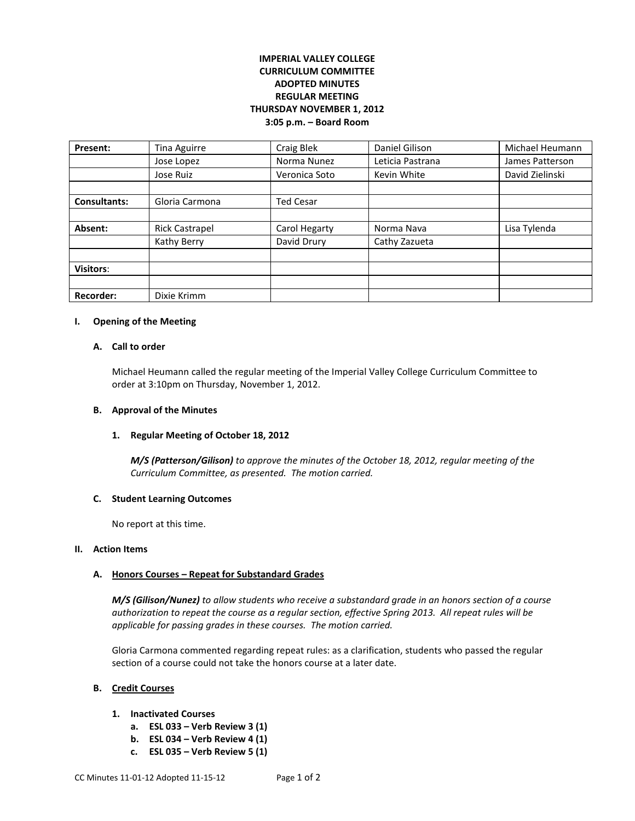# **IMPERIAL VALLEY COLLEGE CURRICULUM COMMITTEE ADOPTED MINUTES REGULAR MEETING THURSDAY NOVEMBER 1, 2012 3:05 p.m. – Board Room**

| Present:            | Tina Aguirre          | Craig Blek       | Daniel Gilison   | Michael Heumann |
|---------------------|-----------------------|------------------|------------------|-----------------|
|                     | Jose Lopez            | Norma Nunez      | Leticia Pastrana | James Patterson |
|                     | Jose Ruiz             | Veronica Soto    | Kevin White      | David Zielinski |
|                     |                       |                  |                  |                 |
| <b>Consultants:</b> | Gloria Carmona        | <b>Ted Cesar</b> |                  |                 |
|                     |                       |                  |                  |                 |
| Absent:             | <b>Rick Castrapel</b> | Carol Hegarty    | Norma Nava       | Lisa Tylenda    |
|                     | Kathy Berry           | David Drury      | Cathy Zazueta    |                 |
|                     |                       |                  |                  |                 |
| <b>Visitors:</b>    |                       |                  |                  |                 |
|                     |                       |                  |                  |                 |
| <b>Recorder:</b>    | Dixie Krimm           |                  |                  |                 |

### **I. Opening of the Meeting**

### **A. Call to order**

Michael Heumann called the regular meeting of the Imperial Valley College Curriculum Committee to order at 3:10pm on Thursday, November 1, 2012.

### **B. Approval of the Minutes**

## **1. Regular Meeting of October 18, 2012**

*M/S (Patterson/Gilison) to approve the minutes of the October 18, 2012, regular meeting of the Curriculum Committee, as presented. The motion carried.* 

#### **C. Student Learning Outcomes**

No report at this time.

#### **II. Action Items**

## **A. Honors Courses – Repeat for Substandard Grades**

*M/S (Gilison/Nunez) to allow students who receive a substandard grade in an honors section of a course authorization to repeat the course as a regular section, effective Spring 2013. All repeat rules will be applicable for passing grades in these courses. The motion carried.*

Gloria Carmona commented regarding repeat rules: as a clarification, students who passed the regular section of a course could not take the honors course at a later date.

#### **B. Credit Courses**

## **1. Inactivated Courses**

- **a. ESL 033 – Verb Review 3 (1)**
- **b. ESL 034 – Verb Review 4 (1)**
- **c. ESL 035 – Verb Review 5 (1)**